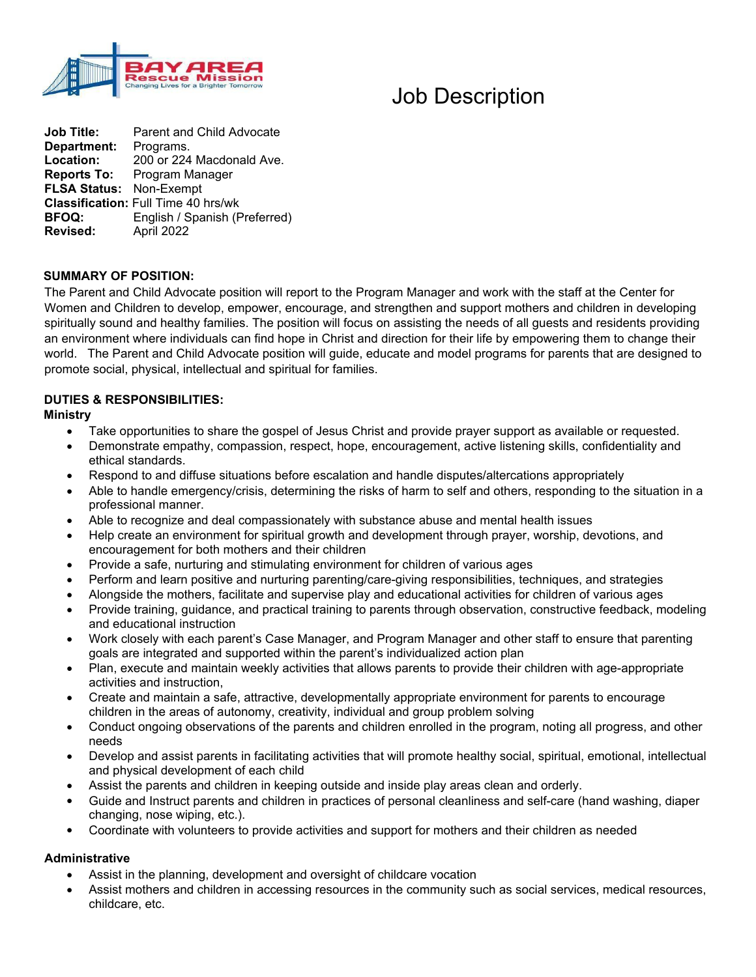

# Job Description

**Job Title:** Parent and Child Advocate **Department:** Programs. Location: 200 or 224 Macdonald Ave. **Reports To:** Program Manager **FLSA Status:** Non-Exempt **Classification:** Full Time 40 hrs/wk<br>**BFOQ:** English / Spanish (F **BFOQ:** English / Spanish (Preferred) **Revised:** April 2022

# **SUMMARY OF POSITION:**

The Parent and Child Advocate position will report to the Program Manager and work with the staff at the Center for Women and Children to develop, empower, encourage, and strengthen and support mothers and children in developing spiritually sound and healthy families. The position will focus on assisting the needs of all guests and residents providing an environment where individuals can find hope in Christ and direction for their life by empowering them to change their world. The Parent and Child Advocate position will guide, educate and model programs for parents that are designed to promote social, physical, intellectual and spiritual for families.

# **DUTIES & RESPONSIBILITIES:**

### **Ministry**

- Take opportunities to share the gospel of Jesus Christ and provide prayer support as available or requested.
- Demonstrate empathy, compassion, respect, hope, encouragement, active listening skills, confidentiality and ethical standards.
- Respond to and diffuse situations before escalation and handle disputes/altercations appropriately
- Able to handle emergency/crisis, determining the risks of harm to self and others, responding to the situation in a professional manner.
- Able to recognize and deal compassionately with substance abuse and mental health issues
- Help create an environment for spiritual growth and development through prayer, worship, devotions, and encouragement for both mothers and their children
- Provide a safe, nurturing and stimulating environment for children of various ages
- Perform and learn positive and nurturing parenting/care-giving responsibilities, techniques, and strategies
- Alongside the mothers, facilitate and supervise play and educational activities for children of various ages
- Provide training, guidance, and practical training to parents through observation, constructive feedback, modeling and educational instruction
- Work closely with each parent's Case Manager, and Program Manager and other staff to ensure that parenting goals are integrated and supported within the parent's individualized action plan
- Plan, execute and maintain weekly activities that allows parents to provide their children with age-appropriate activities and instruction,
- Create and maintain a safe, attractive, developmentally appropriate environment for parents to encourage children in the areas of autonomy, creativity, individual and group problem solving
- Conduct ongoing observations of the parents and children enrolled in the program, noting all progress, and other needs
- Develop and assist parents in facilitating activities that will promote healthy social, spiritual, emotional, intellectual and physical development of each child
- Assist the parents and children in keeping outside and inside play areas clean and orderly.
- Guide and Instruct parents and children in practices of personal cleanliness and self-care (hand washing, diaper changing, nose wiping, etc.).
- Coordinate with volunteers to provide activities and support for mothers and their children as needed

### **Administrative**

- Assist in the planning, development and oversight of childcare vocation
- Assist mothers and children in accessing resources in the community such as social services, medical resources, childcare, etc.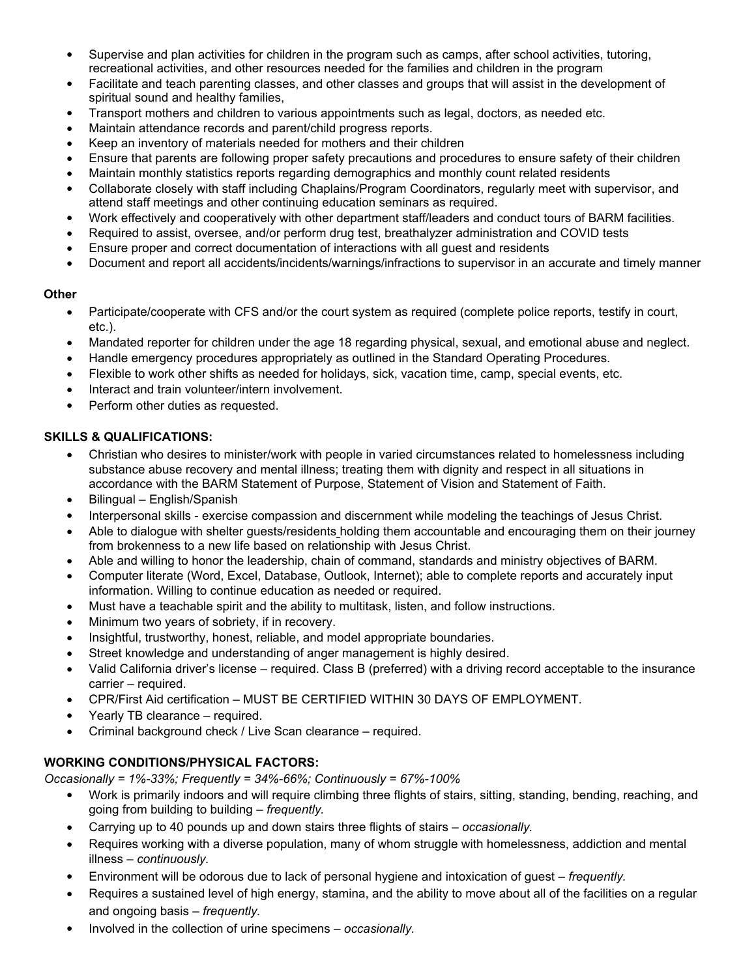- Supervise and plan activities for children in the program such as camps, after school activities, tutoring, recreational activities, and other resources needed for the families and children in the program
- Facilitate and teach parenting classes, and other classes and groups that will assist in the development of spiritual sound and healthy families.
- Transport mothers and children to various appointments such as legal, doctors, as needed etc.
- Maintain attendance records and parent/child progress reports.
- Keep an inventory of materials needed for mothers and their children
- Ensure that parents are following proper safety precautions and procedures to ensure safety of their children
- Maintain monthly statistics reports regarding demographics and monthly count related residents
- Collaborate closely with staff including Chaplains/Program Coordinators, regularly meet with supervisor, and attend staff meetings and other continuing education seminars as required.
- Work effectively and cooperatively with other department staff/leaders and conduct tours of BARM facilities.
- Required to assist, oversee, and/or perform drug test, breathalyzer administration and COVID tests
- Ensure proper and correct documentation of interactions with all guest and residents
- Document and report all accidents/incidents/warnings/infractions to supervisor in an accurate and timely manner

### **Other**

- Participate/cooperate with CFS and/or the court system as required (complete police reports, testify in court, etc.).
- Mandated reporter for children under the age 18 regarding physical, sexual, and emotional abuse and neglect.
- Handle emergency procedures appropriately as outlined in the Standard Operating Procedures.
- Flexible to work other shifts as needed for holidays, sick, vacation time, camp, special events, etc.
- Interact and train volunteer/intern involvement.
- Perform other duties as requested.

# **SKILLS & QUALIFICATIONS:**

- Christian who desires to minister/work with people in varied circumstances related to homelessness including substance abuse recovery and mental illness; treating them with dignity and respect in all situations in accordance with the BARM Statement of Purpose, Statement of Vision and Statement of Faith.
- $\bullet$  Bilingual English/Spanish
- Interpersonal skills exercise compassion and discernment while modeling the teachings of Jesus Christ.
- Able to dialogue with shelter guests/residents holding them accountable and encouraging them on their journey from brokenness to a new life based on relationship with Jesus Christ.
- Able and willing to honor the leadership, chain of command, standards and ministry objectives of BARM.
- Computer literate (Word, Excel, Database, Outlook, Internet); able to complete reports and accurately input information. Willing to continue education as needed or required.
- Must have a teachable spirit and the ability to multitask, listen, and follow instructions.
- Minimum two years of sobriety, if in recovery.
- Insightful, trustworthy, honest, reliable, and model appropriate boundaries.
- Street knowledge and understanding of anger management is highly desired.
- Valid California driver's license required. Class B (preferred) with a driving record acceptable to the insurance carrier – required.
- CPR/First Aid certification MUST BE CERTIFIED WITHIN 30 DAYS OF EMPLOYMENT.
- Yearly TB clearance required.
- Criminal background check / Live Scan clearance required.

# **WORKING CONDITIONS/PHYSICAL FACTORS:**

*Occasionally = 1%-33%; Frequently = 34%-66%; Continuously = 67%-100%* 

- Work is primarily indoors and will require climbing three flights of stairs, sitting, standing, bending, reaching, and going from building to building – *frequently.*
- Carrying up to 40 pounds up and down stairs three flights of stairs – *occasionally.*
- Requires working with a diverse population, many of whom struggle with homelessness, addiction and mental illness – *continuously.*
- Environment will be odorous due to lack of personal hygiene and intoxication of guest – *frequently.*
- Requires a sustained level of high energy, stamina, and the ability to move about all of the facilities on a regular and ongoing basis – *frequently.*
- Involved in the collection of urine specimens – *occasionally.*